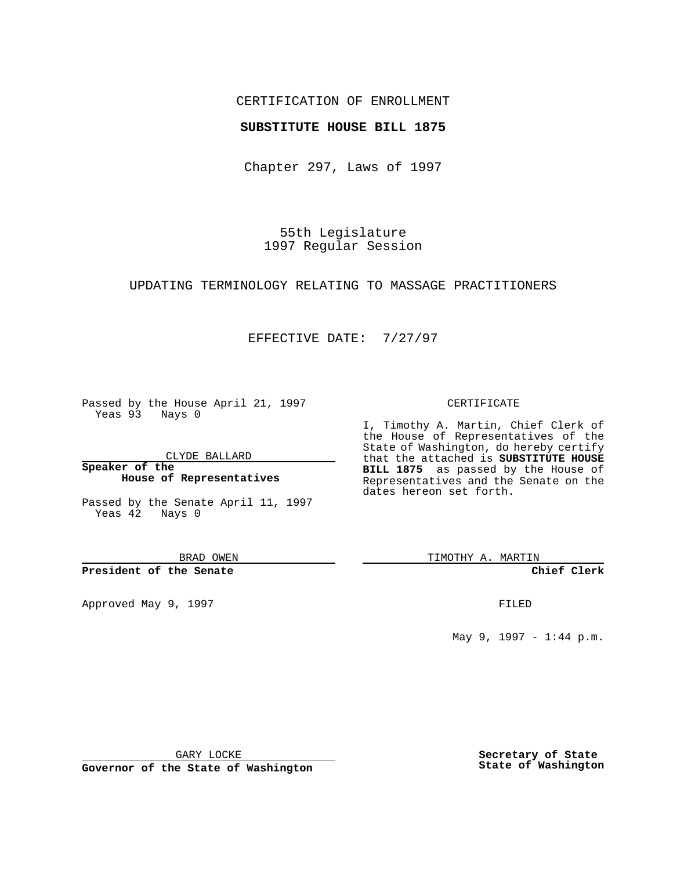## CERTIFICATION OF ENROLLMENT

### **SUBSTITUTE HOUSE BILL 1875**

Chapter 297, Laws of 1997

55th Legislature 1997 Regular Session

#### UPDATING TERMINOLOGY RELATING TO MASSAGE PRACTITIONERS

## EFFECTIVE DATE: 7/27/97

Passed by the House April 21, 1997 Yeas 93 Nays 0

CLYDE BALLARD

**Speaker of the House of Representatives**

Passed by the Senate April 11, 1997 Yeas 42 Nays 0

BRAD OWEN

**President of the Senate**

Approved May 9, 1997 **FILED** 

#### CERTIFICATE

I, Timothy A. Martin, Chief Clerk of the House of Representatives of the State of Washington, do hereby certify that the attached is **SUBSTITUTE HOUSE BILL 1875** as passed by the House of Representatives and the Senate on the dates hereon set forth.

TIMOTHY A. MARTIN

**Chief Clerk**

May 9, 1997 - 1:44 p.m.

GARY LOCKE

**Governor of the State of Washington**

**Secretary of State State of Washington**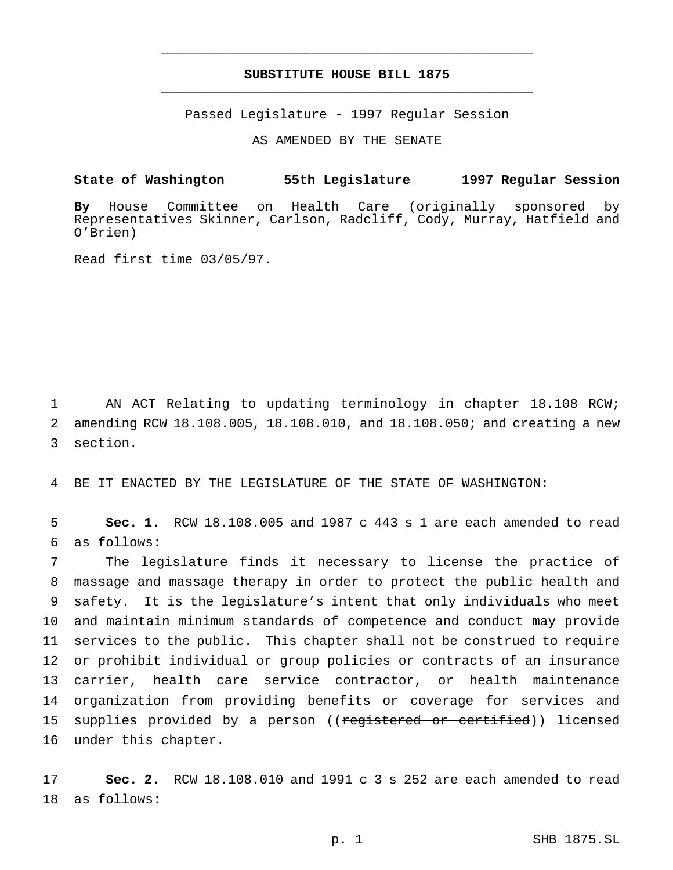# **SUBSTITUTE HOUSE BILL 1875** \_\_\_\_\_\_\_\_\_\_\_\_\_\_\_\_\_\_\_\_\_\_\_\_\_\_\_\_\_\_\_\_\_\_\_\_\_\_\_\_\_\_\_\_\_\_\_

\_\_\_\_\_\_\_\_\_\_\_\_\_\_\_\_\_\_\_\_\_\_\_\_\_\_\_\_\_\_\_\_\_\_\_\_\_\_\_\_\_\_\_\_\_\_\_

Passed Legislature - 1997 Regular Session

AS AMENDED BY THE SENATE

**State of Washington 55th Legislature 1997 Regular Session**

**By** House Committee on Health Care (originally sponsored by Representatives Skinner, Carlson, Radcliff, Cody, Murray, Hatfield and O'Brien)

Read first time 03/05/97.

1 AN ACT Relating to updating terminology in chapter 18.108 RCW; 2 amending RCW 18.108.005, 18.108.010, and 18.108.050; and creating a new 3 section.

4 BE IT ENACTED BY THE LEGISLATURE OF THE STATE OF WASHINGTON:

5 **Sec. 1.** RCW 18.108.005 and 1987 c 443 s 1 are each amended to read 6 as follows:

 The legislature finds it necessary to license the practice of massage and massage therapy in order to protect the public health and safety. It is the legislature's intent that only individuals who meet and maintain minimum standards of competence and conduct may provide services to the public. This chapter shall not be construed to require or prohibit individual or group policies or contracts of an insurance carrier, health care service contractor, or health maintenance organization from providing benefits or coverage for services and 15 supplies provided by a person ((registered or certified)) licensed under this chapter.

17 **Sec. 2.** RCW 18.108.010 and 1991 c 3 s 252 are each amended to read 18 as follows: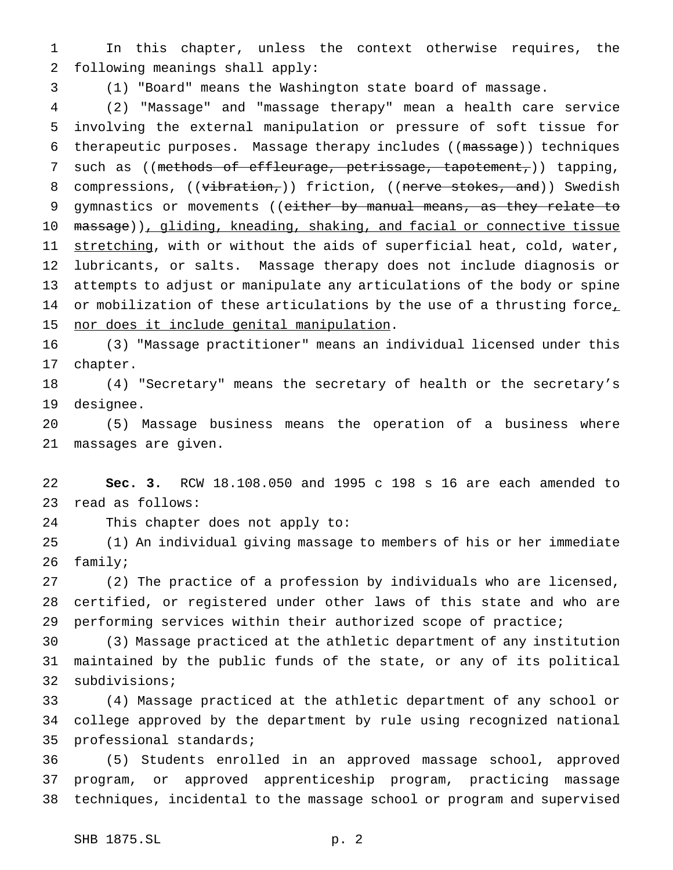In this chapter, unless the context otherwise requires, the following meanings shall apply:

(1) "Board" means the Washington state board of massage.

 (2) "Massage" and "massage therapy" mean a health care service involving the external manipulation or pressure of soft tissue for 6 therapeutic purposes. Massage therapy includes ((massage)) techniques 7 such as ((methods of effleurage, petrissage, tapotement,)) tapping, 8 compressions, ((vibration,)) friction, ((nerve stokes, and)) Swedish 9 gymnastics or movements ((either by manual means, as they relate to 10 massage)), gliding, kneading, shaking, and facial or connective tissue 11 stretching, with or without the aids of superficial heat, cold, water, lubricants, or salts. Massage therapy does not include diagnosis or attempts to adjust or manipulate any articulations of the body or spine 14 or mobilization of these articulations by the use of a thrusting force, 15 nor does it include genital manipulation.

 (3) "Massage practitioner" means an individual licensed under this chapter.

 (4) "Secretary" means the secretary of health or the secretary's designee.

 (5) Massage business means the operation of a business where massages are given.

 **Sec. 3.** RCW 18.108.050 and 1995 c 198 s 16 are each amended to read as follows:

This chapter does not apply to:

 (1) An individual giving massage to members of his or her immediate family;

 (2) The practice of a profession by individuals who are licensed, certified, or registered under other laws of this state and who are performing services within their authorized scope of practice;

 (3) Massage practiced at the athletic department of any institution maintained by the public funds of the state, or any of its political subdivisions;

 (4) Massage practiced at the athletic department of any school or college approved by the department by rule using recognized national professional standards;

 (5) Students enrolled in an approved massage school, approved program, or approved apprenticeship program, practicing massage techniques, incidental to the massage school or program and supervised